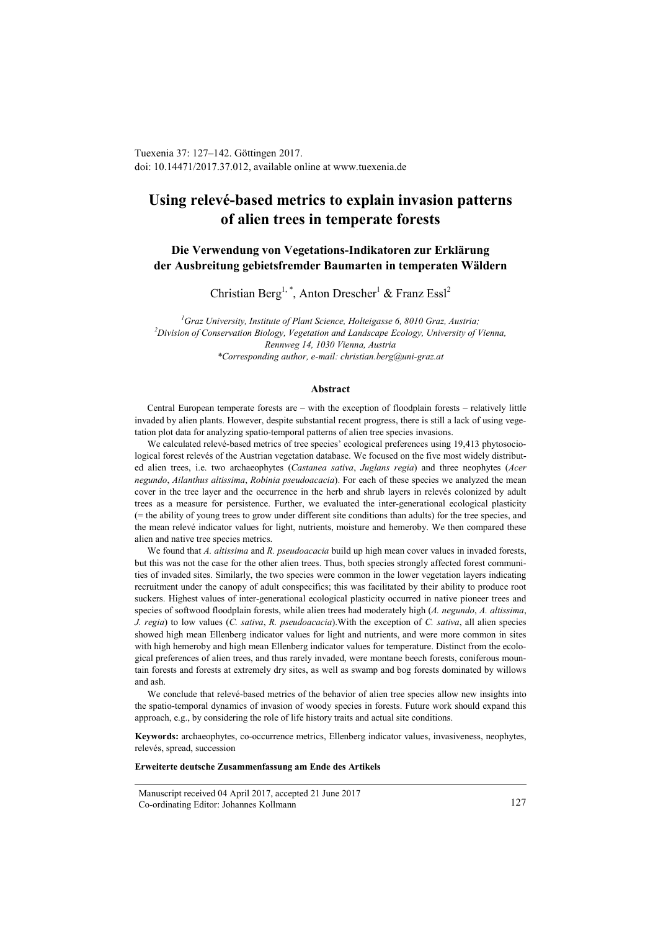Tuexenia 37: 127–142. Göttingen 2017. doi: 10.14471/2017.37.012, available online a[t www.tuexenia.de](http://www.tuexenia.de/)

# **Using relevé-based metrics to explain invasion patterns of alien trees in temperate forests**

# **Die Verwendung von Vegetations-Indikatoren zur Erklärung der Ausbreitung gebietsfremder Baumarten in temperaten Wäldern**

Christian Berg<sup>1,\*</sup>, Anton Drescher<sup>1</sup> & Franz Essl<sup>2</sup>

*1 Graz University, Institute of Plant Science, Holteigasse 6, 8010 Graz, Austria; 2 Division of Conservation Biology, Vegetation and Landscape Ecology, University of Vienna, Rennweg 14, 1030 Vienna, Austria \*Corresponding author, e-mail: christian.berg@uni-graz.at*

#### **Abstract**

Central European temperate forests are – with the exception of floodplain forests – relatively little invaded by alien plants. However, despite substantial recent progress, there is still a lack of using vegetation plot data for analyzing spatio-temporal patterns of alien tree species invasions.

We calculated relevé-based metrics of tree species' ecological preferences using 19,413 phytosociological forest relevés of the Austrian vegetation database. We focused on the five most widely distributed alien trees, i.e. two archaeophytes (*Castanea sativa*, *Juglans regia*) and three neophytes (*Acer negundo*, *Ailanthus altissima*, *Robinia pseudoacacia*). For each of these species we analyzed the mean cover in the tree layer and the occurrence in the herb and shrub layers in relevés colonized by adult trees as a measure for persistence. Further, we evaluated the inter-generational ecological plasticity (= the ability of young trees to grow under different site conditions than adults) for the tree species, and the mean relevé indicator values for light, nutrients, moisture and hemeroby. We then compared these alien and native tree species metrics.

We found that *A. altissima* and *R. pseudoacacia* build up high mean cover values in invaded forests, but this was not the case for the other alien trees. Thus, both species strongly affected forest communities of invaded sites. Similarly, the two species were common in the lower vegetation layers indicating recruitment under the canopy of adult conspecifics; this was facilitated by their ability to produce root suckers. Highest values of inter-generational ecological plasticity occurred in native pioneer trees and species of softwood floodplain forests, while alien trees had moderately high (*A. negundo*, *A. altissima*, *J. regia*) to low values (*C. sativa*, *R. pseudoacacia*).With the exception of *C. sativa*, all alien species showed high mean Ellenberg indicator values for light and nutrients, and were more common in sites with high hemeroby and high mean Ellenberg indicator values for temperature. Distinct from the ecological preferences of alien trees, and thus rarely invaded, were montane beech forests, coniferous mountain forests and forests at extremely dry sites, as well as swamp and bog forests dominated by willows and ash.

We conclude that relevé-based metrics of the behavior of alien tree species allow new insights into the spatio-temporal dynamics of invasion of woody species in forests. Future work should expand this approach, e.g., by considering the role of life history traits and actual site conditions.

**Keywords:** archaeophytes, co-occurrence metrics, Ellenberg indicator values, invasiveness, neophytes, relevés, spread, succession

## **Erweiterte deutsche Zusammenfassung am Ende des Artikels**

Manuscript received 04 April 2017, accepted 21 June 2017 Co-ordinating Editor: Johannes Kollmann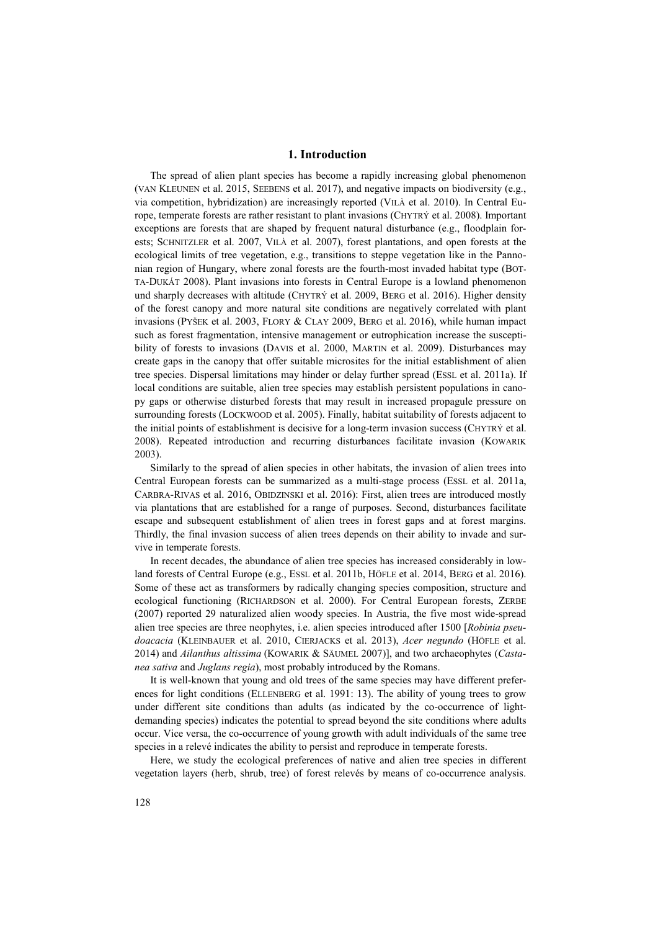# **1. Introduction**

The spread of alien plant species has become a rapidly increasing global phenomenon (VAN KLEUNEN et al. 2015, SEEBENS et al. 2017), and negative impacts on biodiversity (e.g., via competition, hybridization) are increasingly reported (VILÀ et al. 2010). In Central Europe, temperate forests are rather resistant to plant invasions (CHYTRÝ et al. 2008). Important exceptions are forests that are shaped by frequent natural disturbance (e.g., floodplain forests; SCHNITZLER et al. 2007, VILÀ et al. 2007), forest plantations, and open forests at the ecological limits of tree vegetation, e.g., transitions to steppe vegetation like in the Pannonian region of Hungary, where zonal forests are the fourth-most invaded habitat type (BOT-TA-DUKÁT 2008). Plant invasions into forests in Central Europe is a lowland phenomenon und sharply decreases with altitude (CHYTRÝ et al. 2009, BERG et al. 2016). Higher density of the forest canopy and more natural site conditions are negatively correlated with plant invasions (PYŠEK et al. 2003, FLORY & CLAY 2009, BERG et al. 2016), while human impact such as forest fragmentation, intensive management or eutrophication increase the susceptibility of forests to invasions (DAVIS et al. 2000, MARTIN et al. 2009). Disturbances may create gaps in the canopy that offer suitable microsites for the initial establishment of alien tree species. Dispersal limitations may hinder or delay further spread (ESSL et al. 2011a). If local conditions are suitable, alien tree species may establish persistent populations in canopy gaps or otherwise disturbed forests that may result in increased propagule pressure on surrounding forests (LOCKWOOD et al. 2005). Finally, habitat suitability of forests adjacent to the initial points of establishment is decisive for a long-term invasion success (CHYTRÝ et al. 2008). Repeated introduction and recurring disturbances facilitate invasion (KOWARIK 2003).

Similarly to the spread of alien species in other habitats, the invasion of alien trees into Central European forests can be summarized as a multi-stage process (ESSL et al. 2011a, CARBRA-RIVAS et al. 2016, OBIDZINSKI et al. 2016): First, alien trees are introduced mostly via plantations that are established for a range of purposes. Second, disturbances facilitate escape and subsequent establishment of alien trees in forest gaps and at forest margins. Thirdly, the final invasion success of alien trees depends on their ability to invade and survive in temperate forests.

In recent decades, the abundance of alien tree species has increased considerably in lowland forests of Central Europe (e.g., ESSL et al. 2011b, HÖFLE et al. 2014, BERG et al. 2016). Some of these act as transformers by radically changing species composition, structure and ecological functioning (RICHARDSON et al. 2000). For Central European forests, ZERBE (2007) reported 29 naturalized alien woody species. In Austria, the five most wide-spread alien tree species are three neophytes, i.e. alien species introduced after 1500 [*Robinia pseudoacacia* (KLEINBAUER et al. 2010, CIERJACKS et al. 2013), *Acer negundo* (HÖFLE et al. 2014) and *Ailanthus altissima* (KOWARIK & SÄUMEL 2007)], and two archaeophytes (*Castanea sativa* and *Juglans regia*), most probably introduced by the Romans.

It is well-known that young and old trees of the same species may have different preferences for light conditions (ELLENBERG et al. 1991: 13). The ability of young trees to grow under different site conditions than adults (as indicated by the co-occurrence of lightdemanding species) indicates the potential to spread beyond the site conditions where adults occur. Vice versa, the co-occurrence of young growth with adult individuals of the same tree species in a relevé indicates the ability to persist and reproduce in temperate forests.

Here, we study the ecological preferences of native and alien tree species in different vegetation layers (herb, shrub, tree) of forest relevés by means of co-occurrence analysis.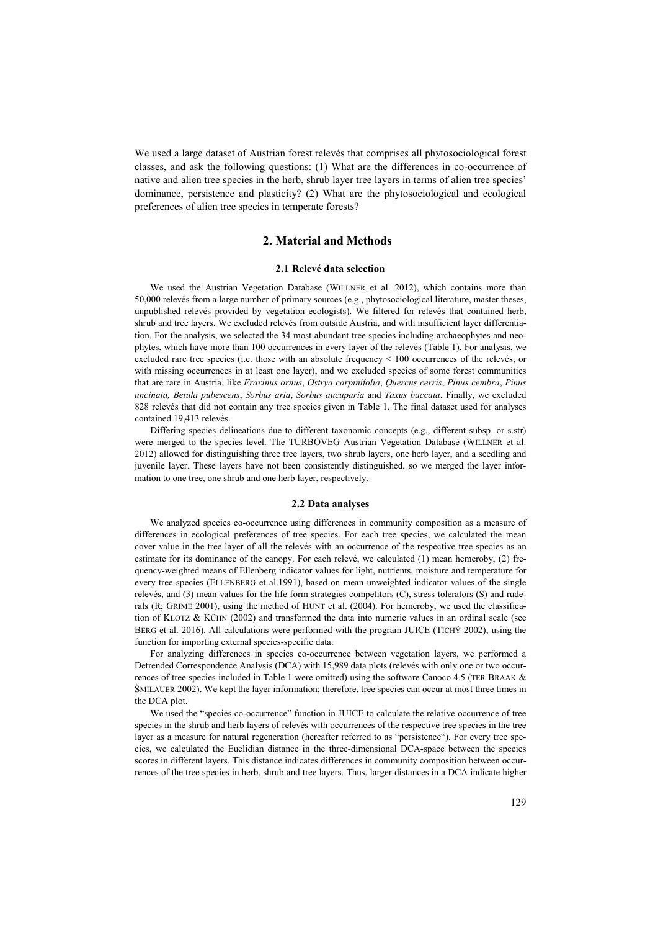We used a large dataset of Austrian forest relevés that comprises all phytosociological forest classes, and ask the following questions: (1) What are the differences in co-occurrence of native and alien tree species in the herb, shrub layer tree layers in terms of alien tree species' dominance, persistence and plasticity? (2) What are the phytosociological and ecological preferences of alien tree species in temperate forests?

# **2. Material and Methods**

## **2.1 Relevé data selection**

We used the Austrian Vegetation Database (WILLNER et al. 2012), which contains more than 50,000 relevés from a large number of primary sources (e.g., phytosociological literature, master theses, unpublished relevés provided by vegetation ecologists). We filtered for relevés that contained herb, shrub and tree layers. We excluded relevés from outside Austria, and with insufficient layer differentiation. For the analysis, we selected the 34 most abundant tree species including archaeophytes and neophytes, which have more than 100 occurrences in every layer of the relevés (Table 1). For analysis, we excluded rare tree species (i.e. those with an absolute frequency < 100 occurrences of the relevés, or with missing occurrences in at least one layer), and we excluded species of some forest communities that are rare in Austria, like *Fraxinus ornus*, *Ostrya carpinifolia*, *Quercus cerris*, *Pinus cembra*, *Pinus uncinata, Betula pubescens*, *Sorbus aria*, *Sorbus aucuparia* and *Taxus baccata*. Finally, we excluded 828 relevés that did not contain any tree species given in Table 1. The final dataset used for analyses contained 19,413 relevés.

Differing species delineations due to different taxonomic concepts (e.g., different subsp. or s.str) were merged to the species level. The TURBOVEG Austrian Vegetation Database (WILLNER et al. 2012) allowed for distinguishing three tree layers, two shrub layers, one herb layer, and a seedling and juvenile layer. These layers have not been consistently distinguished, so we merged the layer information to one tree, one shrub and one herb layer, respectively.

## **2.2 Data analyses**

We analyzed species co-occurrence using differences in community composition as a measure of differences in ecological preferences of tree species. For each tree species, we calculated the mean cover value in the tree layer of all the relevés with an occurrence of the respective tree species as an estimate for its dominance of the canopy. For each relevé, we calculated (1) mean hemeroby, (2) frequency-weighted means of Ellenberg indicator values for light, nutrients, moisture and temperature for every tree species (ELLENBERG et al.1991), based on mean unweighted indicator values of the single relevés, and (3) mean values for the life form strategies competitors (C), stress tolerators (S) and ruderals (R; GRIME 2001), using the method of HUNT et al. (2004). For hemeroby, we used the classification of KLOTZ & KÜHN (2002) and transformed the data into numeric values in an ordinal scale (see BERG et al. 2016). All calculations were performed with the program JUICE (TICHÝ 2002), using the function for importing external species-specific data.

For analyzing differences in species co-occurrence between vegetation layers, we performed a Detrended Correspondence Analysis (DCA) with 15,989 data plots (relevés with only one or two occurrences of tree species included in Table 1 were omitted) using the software Canoco 4.5 (TER BRAAK & ŠMILAUER 2002). We kept the layer information; therefore, tree species can occur at most three times in the DCA plot.

We used the "species co-occurrence" function in JUICE to calculate the relative occurrence of tree species in the shrub and herb layers of relevés with occurrences of the respective tree species in the tree layer as a measure for natural regeneration (hereafter referred to as "persistence"). For every tree species, we calculated the Euclidian distance in the three-dimensional DCA-space between the species scores in different layers. This distance indicates differences in community composition between occurrences of the tree species in herb, shrub and tree layers. Thus, larger distances in a DCA indicate higher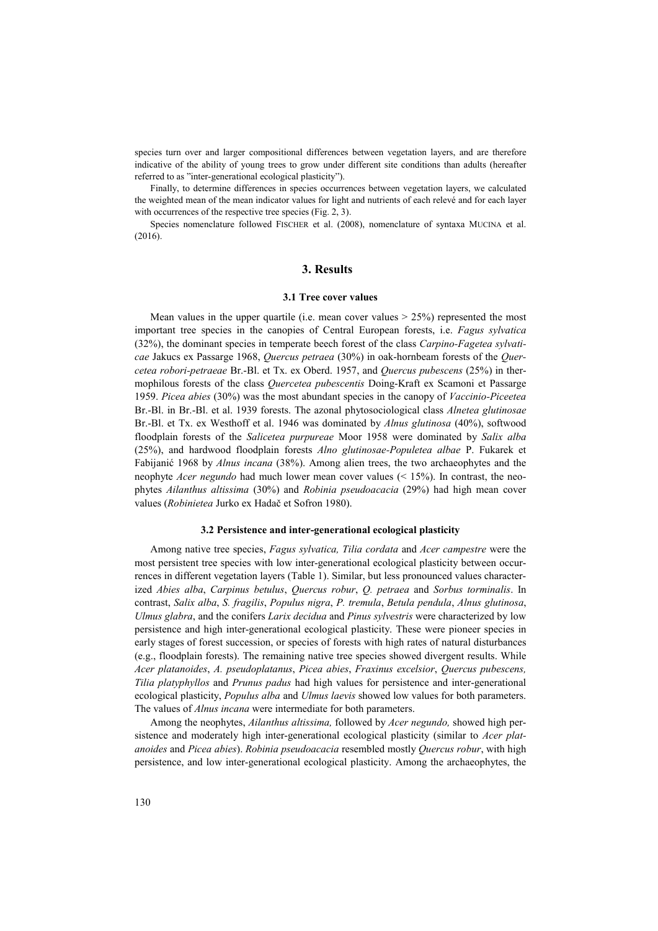species turn over and larger compositional differences between vegetation layers, and are therefore indicative of the ability of young trees to grow under different site conditions than adults (hereafter referred to as "inter-generational ecological plasticity").

Finally, to determine differences in species occurrences between vegetation layers, we calculated the weighted mean of the mean indicator values for light and nutrients of each relevé and for each layer with occurrences of the respective tree species (Fig. 2, 3).

Species nomenclature followed FISCHER et al. (2008), nomenclature of syntaxa MUCINA et al. (2016).

# **3. Results**

#### **3.1 Tree cover values**

Mean values in the upper quartile (i.e. mean cover values  $> 25\%$ ) represented the most important tree species in the canopies of Central European forests, i.e. *Fagus sylvatica* (32%), the dominant species in temperate beech forest of the class *Carpino-Fagetea sylvaticae* Jakucs ex Passarge 1968, *Quercus petraea* (30%) in oak-hornbeam forests of the *Quercetea robori-petraeae* Br.-Bl. et Tx. ex Oberd. 1957, and *Quercus pubescens* (25%) in thermophilous forests of the class *Quercetea pubescentis* Doing-Kraft ex Scamoni et Passarge 1959. *Picea abies* (30%) was the most abundant species in the canopy of *Vaccinio-Piceetea* Br.-Bl. in Br.-Bl. et al. 1939 forests. The azonal phytosociological class *Alnetea glutinosae* Br.-Bl. et Tx. ex Westhoff et al. 1946 was dominated by *Alnus glutinosa* (40%), softwood floodplain forests of the *Salicetea purpureae* Moor 1958 were dominated by *Salix alba* (25%), and hardwood floodplain forests *Alno glutinosae-Populetea albae* P. Fukarek et Fabijanić 1968 by *Alnus incana* (38%). Among alien trees, the two archaeophytes and the neophyte *Acer negundo* had much lower mean cover values (< 15%). In contrast, the neophytes *Ailanthus altissima* (30%) and *Robinia pseudoacacia* (29%) had high mean cover values (*Robinietea* Jurko ex Hadač et Sofron 1980).

# **3.2 Persistence and inter-generational ecological plasticity**

Among native tree species, *Fagus sylvatica, Tilia cordata* and *Acer campestre* were the most persistent tree species with low inter-generational ecological plasticity between occurrences in different vegetation layers (Table 1). Similar, but less pronounced values characterized *Abies alba*, *Carpinus betulus*, *Quercus robur*, *Q. petraea* and *Sorbus torminalis*. In contrast, *Salix alba*, *S. fragilis*, *Populus nigra*, *P. tremula*, *Betula pendula*, *Alnus glutinosa*, *Ulmus glabra*, and the conifers *Larix decidua* and *Pinus sylvestris* were characterized by low persistence and high inter-generational ecological plasticity. These were pioneer species in early stages of forest succession, or species of forests with high rates of natural disturbances (e.g., floodplain forests). The remaining native tree species showed divergent results. While *Acer platanoides*, *A. pseudoplatanus*, *Picea abies*, *Fraxinus excelsior*, *Quercus pubescens, Tilia platyphyllos* and *Prunus padus* had high values for persistence and inter-generational ecological plasticity, *Populus alba* and *Ulmus laevis* showed low values for both parameters. The values of *Alnus incana* were intermediate for both parameters.

Among the neophytes, *Ailanthus altissima,* followed by *Acer negundo,* showed high persistence and moderately high inter-generational ecological plasticity (similar to *Acer platanoides* and *Picea abies*). *Robinia pseudoacacia* resembled mostly *Quercus robur*, with high persistence, and low inter-generational ecological plasticity. Among the archaeophytes, the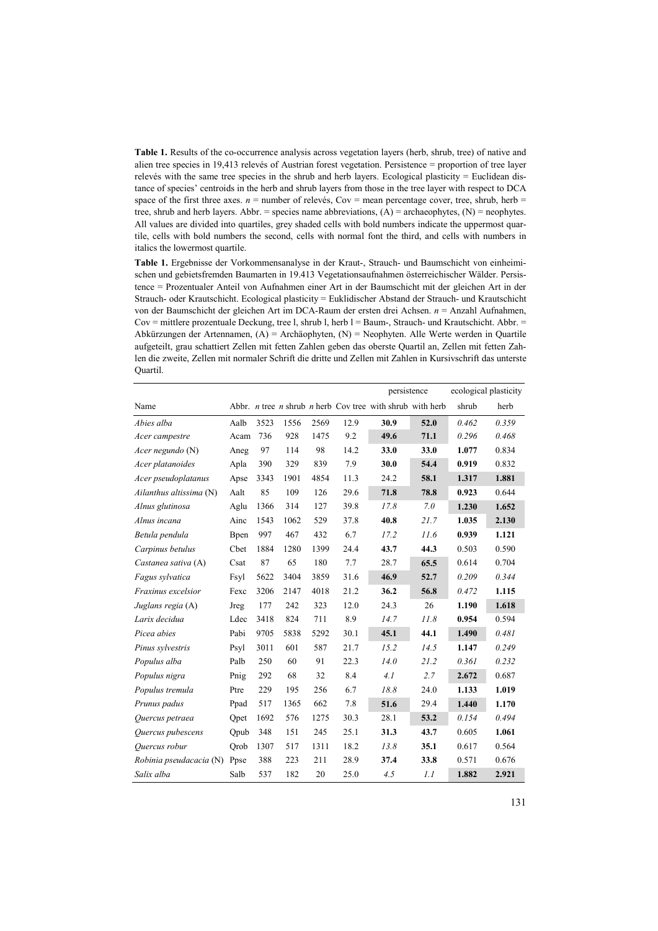**Table 1.** Results of the co-occurrence analysis across vegetation layers (herb, shrub, tree) of native and alien tree species in 19,413 relevés of Austrian forest vegetation. Persistence = proportion of tree layer relevés with the same tree species in the shrub and herb layers. Ecological plasticity = Euclidean distance of species' centroids in the herb and shrub layers from those in the tree layer with respect to DCA space of the first three axes.  $n =$  number of relevés, Cov = mean percentage cover, tree, shrub, herb = tree, shrub and herb layers. Abbr. = species name abbreviations, (A) = archaeophytes, (N) = neophytes. All values are divided into quartiles, grey shaded cells with bold numbers indicate the uppermost quartile, cells with bold numbers the second, cells with normal font the third, and cells with numbers in italics the lowermost quartile.

**Table 1.** Ergebnisse der Vorkommensanalyse in der Kraut-, Strauch- und Baumschicht von einheimischen und gebietsfremden Baumarten in 19.413 Vegetationsaufnahmen österreichischer Wälder. Persistence = Prozentualer Anteil von Aufnahmen einer Art in der Baumschicht mit der gleichen Art in der Strauch- oder Krautschicht. Ecological plasticity = Euklidischer Abstand der Strauch- und Krautschicht von der Baumschicht der gleichen Art im DCA-Raum der ersten drei Achsen. *n* = Anzahl Aufnahmen,  $Cov =$  mittlere prozentuale Deckung, tree l, shrub l, herb  $l =$  Baum-, Strauch- und Krautschicht. Abbr.  $=$ Abkürzungen der Artennamen, (A) = Archäophyten, (N) = Neophyten. Alle Werte werden in Quartile aufgeteilt, grau schattiert Zellen mit fetten Zahlen geben das oberste Quartil an, Zellen mit fetten Zahlen die zweite, Zellen mit normaler Schrift die dritte und Zellen mit Zahlen in Kursivschrift das unterste Quartil.

|                         |              |      |      |      |      | persistence                                                                    |      | ecological plasticity |       |
|-------------------------|--------------|------|------|------|------|--------------------------------------------------------------------------------|------|-----------------------|-------|
| Name                    |              |      |      |      |      | Abbr. <i>n</i> tree <i>n</i> shrub <i>n</i> herb Cov tree with shrub with herb |      | shrub                 | herb  |
| Abies alba              | Aalb         | 3523 | 1556 | 2569 | 12.9 | 30.9                                                                           | 52.0 | 0.462                 | 0.359 |
| Acer campestre          | Acam         | 736  | 928  | 1475 | 9.2  | 49.6                                                                           | 71.1 | 0.296                 | 0.468 |
| Acer negundo $(N)$      | Aneg         | 97   | 114  | 98   | 14.2 | 33.0                                                                           | 33.0 | 1.077                 | 0.834 |
| Acer platanoides        | Apla         | 390  | 329  | 839  | 7.9  | 30.0                                                                           | 54.4 | 0.919                 | 0.832 |
| Acer pseudoplatanus     | Apse         | 3343 | 1901 | 4854 | 11.3 | 24.2                                                                           | 58.1 | 1.317                 | 1.881 |
| Ailanthus altissima (N) | Aalt         | 85   | 109  | 126  | 29.6 | 71.8                                                                           | 78.8 | 0.923                 | 0.644 |
| Alnus glutinosa         | Aglu         | 1366 | 314  | 127  | 39.8 | 17.8                                                                           | 7.0  | 1.230                 | 1.652 |
| Alnus incana            | Ainc         | 1543 | 1062 | 529  | 37.8 | 40.8                                                                           | 21.7 | 1.035                 | 2.130 |
| Betula pendula          | <b>B</b> pen | 997  | 467  | 432  | 6.7  | 17.2                                                                           | 11.6 | 0.939                 | 1.121 |
| Carpinus betulus        | Cbet         | 1884 | 1280 | 1399 | 24.4 | 43.7                                                                           | 44.3 | 0.503                 | 0.590 |
| Castanea sativa (A)     | Csat         | 87   | 65   | 180  | 7.7  | 28.7                                                                           | 65.5 | 0.614                 | 0.704 |
| Fagus sylvatica         | Fsyl         | 5622 | 3404 | 3859 | 31.6 | 46.9                                                                           | 52.7 | 0.209                 | 0.344 |
| Fraxinus excelsior      | Fexc         | 3206 | 2147 | 4018 | 21.2 | 36.2                                                                           | 56.8 | 0.472                 | 1.115 |
| Juglans regia (A)       | Jreg         | 177  | 242  | 323  | 12.0 | 24.3                                                                           | 26   | 1.190                 | 1.618 |
| Larix decidua           | Ldec         | 3418 | 824  | 711  | 8.9  | 14.7                                                                           | 11.8 | 0.954                 | 0.594 |
| Picea abies             | Pabi         | 9705 | 5838 | 5292 | 30.1 | 45.1                                                                           | 44.1 | 1.490                 | 0.481 |
| Pinus sylvestris        | Psyl         | 3011 | 601  | 587  | 21.7 | 15.2                                                                           | 14.5 | 1.147                 | 0.249 |
| Populus alba            | Palb         | 250  | 60   | 91   | 22.3 | 14.0                                                                           | 21.2 | 0.361                 | 0.232 |
| Populus nigra           | Pnig         | 292  | 68   | 32   | 8.4  | 4.1                                                                            | 2.7  | 2.672                 | 0.687 |
| Populus tremula         | Ptre         | 229  | 195  | 256  | 6.7  | 18.8                                                                           | 24.0 | 1.133                 | 1.019 |
| Prunus padus            | Ppad         | 517  | 1365 | 662  | 7.8  | 51.6                                                                           | 29.4 | 1.440                 | 1.170 |
| Quercus petraea         | Opet         | 1692 | 576  | 1275 | 30.3 | 28.1                                                                           | 53.2 | 0.154                 | 0.494 |
| Quercus pubescens       | Qpub         | 348  | 151  | 245  | 25.1 | 31.3                                                                           | 43.7 | 0.605                 | 1.061 |
| Quercus robur           | Orob         | 1307 | 517  | 1311 | 18.2 | 13.8                                                                           | 35.1 | 0.617                 | 0.564 |
| Robinia pseudacacia (N) | Ppse         | 388  | 223  | 211  | 28.9 | 37.4                                                                           | 33.8 | 0.571                 | 0.676 |
| Salix alba              | Salb         | 537  | 182  | 20   | 25.0 | 4.5                                                                            | 1.1  | 1.882                 | 2.921 |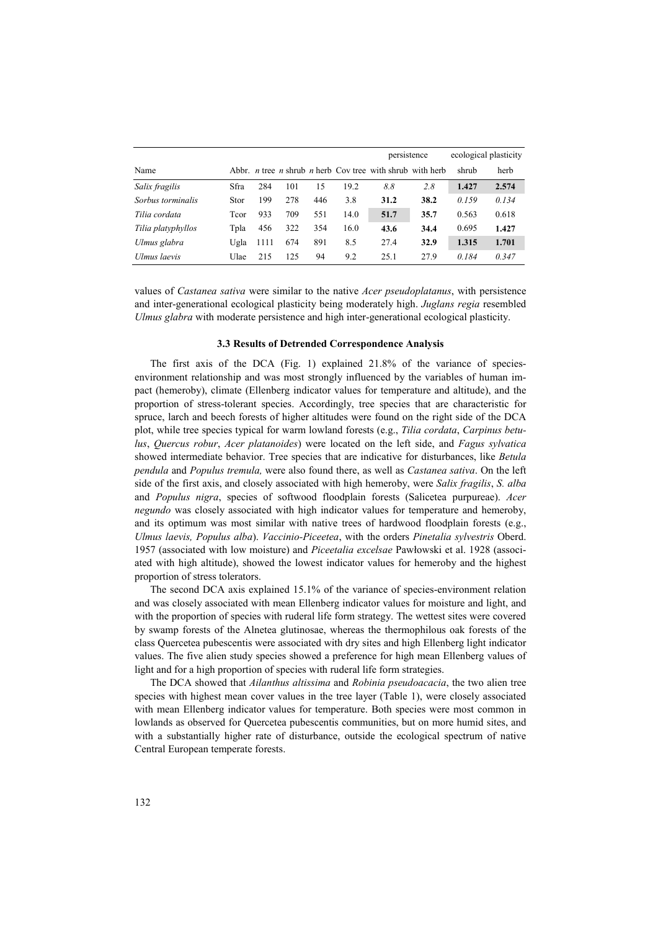|                    |      |      |     |     |      | persistence                                                                    |      | ecological plasticity |       |
|--------------------|------|------|-----|-----|------|--------------------------------------------------------------------------------|------|-----------------------|-------|
| Name               |      |      |     |     |      | Abbr. <i>n</i> tree <i>n</i> shrub <i>n</i> herb Cov tree with shrub with herb |      | shrub                 | herb  |
| Salix fragilis     | Sfra | 284  | 101 | 15  | 19.2 | 8.8                                                                            | 2.8  | 1.427                 | 2.574 |
| Sorbus torminalis  | Stor | 199  | 278 | 446 | 3.8  | 31.2                                                                           | 38.2 | 0.159                 | 0.134 |
| Tilia cordata      | Tcor | 933  | 709 | 551 | 14.0 | 51.7                                                                           | 35.7 | 0.563                 | 0.618 |
| Tilia platyphyllos | Tpla | 456  | 322 | 354 | 16.0 | 43.6                                                                           | 34.4 | 0.695                 | 1.427 |
| Ulmus glabra       | Ugla | 1111 | 674 | 891 | 8.5  | 27.4                                                                           | 32.9 | 1.315                 | 1.701 |
| Ulmus laevis       | Ulae | 215  | 125 | 94  | 9.2  | 25.1                                                                           | 27.9 | 0.184                 | 0.347 |

values of *Castanea sativa* were similar to the native *Acer pseudoplatanus*, with persistence and inter-generational ecological plasticity being moderately high. *Juglans regia* resembled *Ulmus glabra* with moderate persistence and high inter-generational ecological plasticity.

## **3.3 Results of Detrended Correspondence Analysis**

The first axis of the DCA (Fig. 1) explained 21.8% of the variance of speciesenvironment relationship and was most strongly influenced by the variables of human impact (hemeroby), climate (Ellenberg indicator values for temperature and altitude), and the proportion of stress-tolerant species. Accordingly, tree species that are characteristic for spruce, larch and beech forests of higher altitudes were found on the right side of the DCA plot, while tree species typical for warm lowland forests (e.g., *Tilia cordata*, *Carpinus betulus*, *Quercus robur*, *Acer platanoides*) were located on the left side, and *Fagus sylvatica* showed intermediate behavior. Tree species that are indicative for disturbances, like *Betula pendula* and *Populus tremula,* were also found there, as well as *Castanea sativa*. On the left side of the first axis, and closely associated with high hemeroby, were *Salix fragilis*, *S. alba*  and *Populus nigra*, species of softwood floodplain forests (Salicetea purpureae). *Acer negundo* was closely associated with high indicator values for temperature and hemeroby, and its optimum was most similar with native trees of hardwood floodplain forests (e.g., *Ulmus laevis, Populus alba*). *Vaccinio-Piceetea*, with the orders *Pinetalia sylvestris* Oberd. 1957 (associated with low moisture) and *Piceetalia excelsae* Pawłowski et al. 1928 (associated with high altitude), showed the lowest indicator values for hemeroby and the highest proportion of stress tolerators.

The second DCA axis explained 15.1% of the variance of species-environment relation and was closely associated with mean Ellenberg indicator values for moisture and light, and with the proportion of species with ruderal life form strategy. The wettest sites were covered by swamp forests of the Alnetea glutinosae, whereas the thermophilous oak forests of the class Quercetea pubescentis were associated with dry sites and high Ellenberg light indicator values. The five alien study species showed a preference for high mean Ellenberg values of light and for a high proportion of species with ruderal life form strategies.

The DCA showed that *Ailanthus altissima* and *Robinia pseudoacacia*, the two alien tree species with highest mean cover values in the tree layer (Table 1), were closely associated with mean Ellenberg indicator values for temperature. Both species were most common in lowlands as observed for Quercetea pubescentis communities, but on more humid sites, and with a substantially higher rate of disturbance, outside the ecological spectrum of native Central European temperate forests.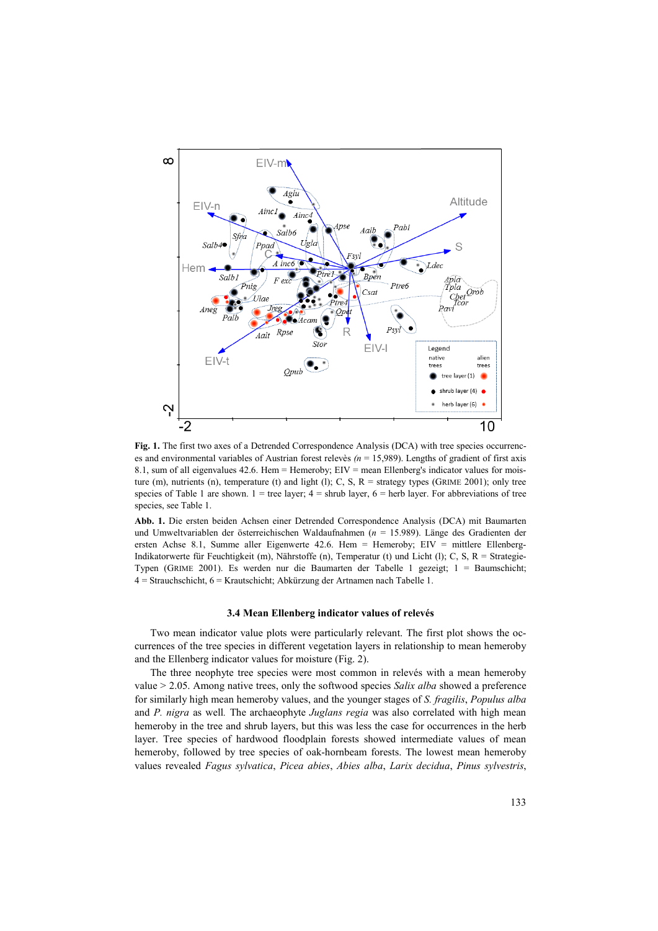

Fig. 1. The first two axes of a Detrended Correspondence Analysis (DCA) with tree species occurrences and environmental variables of Austrian forest relevès *(n* = 15,989). Lengths of gradient of first axis 8.1, sum of all eigenvalues 42.6. Hem = Hemeroby; EIV = mean Ellenberg's indicator values for moisture (m), nutrients (n), temperature (t) and light (l); C, S,  $R =$  strategy types (GRIME 2001); only tree species of Table 1 are shown.  $1 =$  tree layer;  $4 =$  shrub layer,  $6 =$  herb layer. For abbreviations of tree species, see Table 1.

**Abb. 1.** Die ersten beiden Achsen einer Detrended Correspondence Analysis (DCA) mit Baumarten und Umweltvariablen der österreichischen Waldaufnahmen (*n* = 15.989). Länge des Gradienten der ersten Achse 8.1, Summe aller Eigenwerte 42.6. Hem = Hemeroby; EIV = mittlere Ellenberg-Indikatorwerte für Feuchtigkeit (m), Nährstoffe (n), Temperatur (t) und Licht (l); C, S, R = Strategie-Typen (GRIME 2001). Es werden nur die Baumarten der Tabelle 1 gezeigt; 1 = Baumschicht; 4 = Strauchschicht, 6 = Krautschicht; Abkürzung der Artnamen nach Tabelle 1.

#### **3.4 Mean Ellenberg indicator values of relevés**

Two mean indicator value plots were particularly relevant. The first plot shows the occurrences of the tree species in different vegetation layers in relationship to mean hemeroby and the Ellenberg indicator values for moisture (Fig. 2).

The three neophyte tree species were most common in relevés with a mean hemeroby value > 2.05. Among native trees, only the softwood species *Salix alba* showed a preference for similarly high mean hemeroby values, and the younger stages of *S. fragilis*, *Populus alba*  and *P. nigra* as well*.* The archaeophyte *Juglans regia* was also correlated with high mean hemeroby in the tree and shrub layers, but this was less the case for occurrences in the herb layer. Tree species of hardwood floodplain forests showed intermediate values of mean hemeroby, followed by tree species of oak-hornbeam forests. The lowest mean hemeroby values revealed *Fagus sylvatica*, *Picea abies*, *Abies alba*, *Larix decidua*, *Pinus sylvestris*,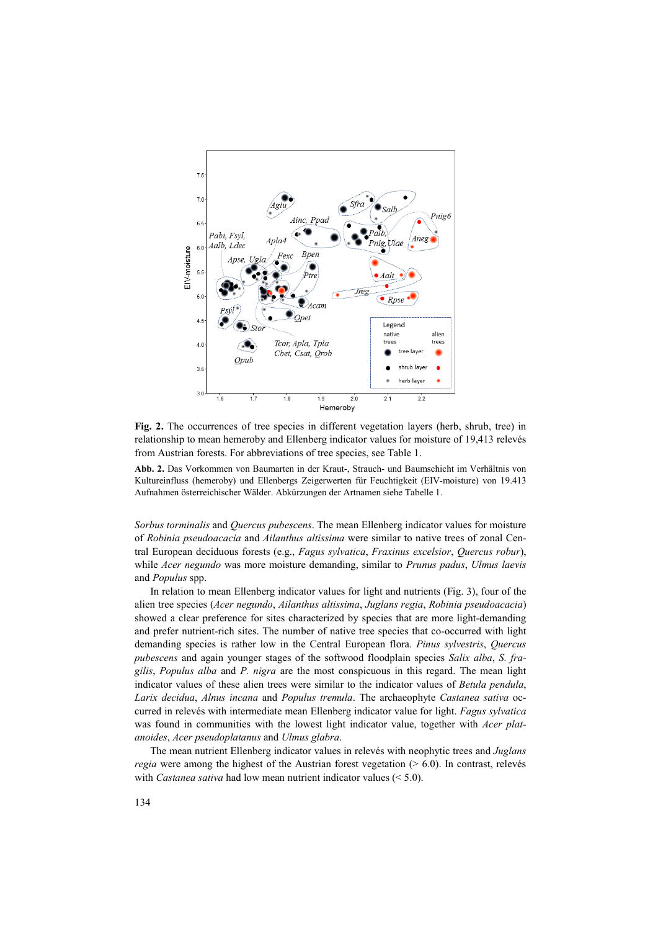

**Fig. 2.** The occurrences of tree species in different vegetation layers (herb, shrub, tree) in relationship to mean hemeroby and Ellenberg indicator values for moisture of 19,413 relevés from Austrian forests. For abbreviations of tree species, see Table 1.

**Abb. 2.** Das Vorkommen von Baumarten in der Kraut-, Strauch- und Baumschicht im Verhältnis von Kultureinfluss (hemeroby) und Ellenbergs Zeigerwerten für Feuchtigkeit (EIV-moisture) von 19.413 Aufnahmen österreichischer Wälder. Abkürzungen der Artnamen siehe Tabelle 1.

*Sorbus torminalis* and *Quercus pubescens*. The mean Ellenberg indicator values for moisture of *Robinia pseudoacacia* and *Ailanthus altissima* were similar to native trees of zonal Central European deciduous forests (e.g., *Fagus sylvatica*, *Fraxinus excelsior*, *Quercus robur*), while *Acer negundo* was more moisture demanding, similar to *Prunus padus*, *Ulmus laevis*  and *Populus* spp.

In relation to mean Ellenberg indicator values for light and nutrients (Fig. 3), four of the alien tree species (*Acer negundo*, *Ailanthus altissima*, *Juglans regia*, *Robinia pseudoacacia*) showed a clear preference for sites characterized by species that are more light-demanding and prefer nutrient-rich sites. The number of native tree species that co-occurred with light demanding species is rather low in the Central European flora. *Pinus sylvestris*, *Quercus pubescens* and again younger stages of the softwood floodplain species *Salix alba*, *S. fragilis*, *Populus alba* and *P. nigra* are the most conspicuous in this regard. The mean light indicator values of these alien trees were similar to the indicator values of *Betula pendula*, *Larix decidua*, *Alnus incana* and *Populus tremula*. The archaeophyte *Castanea sativa* occurred in relevés with intermediate mean Ellenberg indicator value for light. *Fagus sylvatica* was found in communities with the lowest light indicator value, together with *Acer platanoides*, *Acer pseudoplatanus* and *Ulmus glabra*.

The mean nutrient Ellenberg indicator values in relevés with neophytic trees and *Juglans regia* were among the highest of the Austrian forest vegetation (> 6.0). In contrast, relevés with *Castanea sativa* had low mean nutrient indicator values (< 5.0).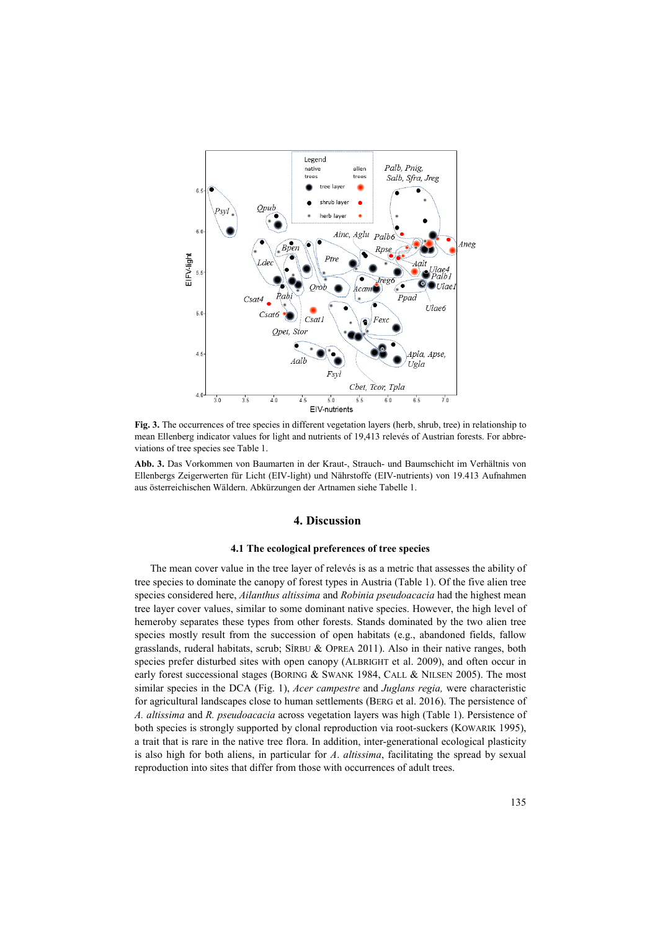

**Fig. 3.** The occurrences of tree species in different vegetation layers (herb, shrub, tree) in relationship to mean Ellenberg indicator values for light and nutrients of 19,413 relevés of Austrian forests. For abbreviations of tree species see Table 1.

**Abb. 3.** Das Vorkommen von Baumarten in der Kraut-, Strauch- und Baumschicht im Verhältnis von Ellenbergs Zeigerwerten für Licht (EIV-light) und Nährstoffe (EIV-nutrients) von 19.413 Aufnahmen aus österreichischen Wäldern. Abkürzungen der Artnamen siehe Tabelle 1.

#### **4. Discussion**

# **4.1 The ecological preferences of tree species**

The mean cover value in the tree layer of relevés is as a metric that assesses the ability of tree species to dominate the canopy of forest types in Austria (Table 1). Of the five alien tree species considered here, *Ailanthus altissima* and *Robinia pseudoacacia* had the highest mean tree layer cover values, similar to some dominant native species. However, the high level of hemeroby separates these types from other forests. Stands dominated by the two alien tree species mostly result from the succession of open habitats (e.g., abandoned fields, fallow grasslands, ruderal habitats, scrub; SÎRBU & OPREA 2011). Also in their native ranges, both species prefer disturbed sites with open canopy (ALBRIGHT et al. 2009), and often occur in early forest successional stages (BORING & SWANK 1984, CALL & NILSEN 2005). The most similar species in the DCA (Fig. 1), *Acer campestre* and *Juglans regia,* were characteristic for agricultural landscapes close to human settlements (BERG et al. 2016). The persistence of *A. altissima* and *R. pseudoacacia* across vegetation layers was high (Table 1). Persistence of both species is strongly supported by clonal reproduction via root-suckers (KOWARIK 1995), a trait that is rare in the native tree flora. In addition, inter-generational ecological plasticity is also high for both aliens, in particular for *A*. *altissima*, facilitating the spread by sexual reproduction into sites that differ from those with occurrences of adult trees.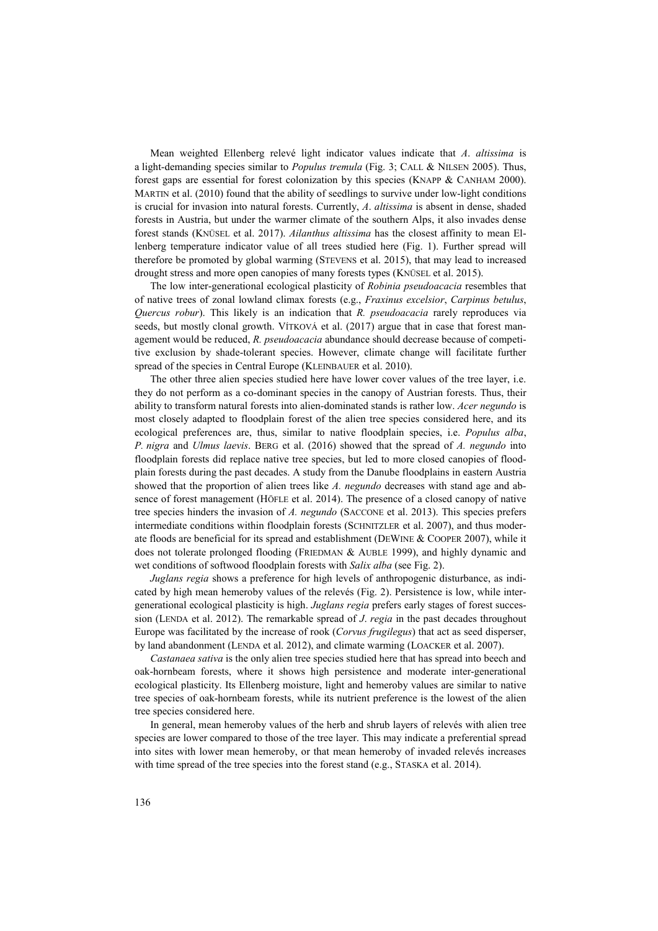Mean weighted Ellenberg relevé light indicator values indicate that *A*. *altissima* is a light-demanding species similar to *Populus tremula* (Fig. 3; CALL & NILSEN 2005). Thus, forest gaps are essential for forest colonization by this species (KNAPP & CANHAM 2000). MARTIN et al. (2010) found that the ability of seedlings to survive under low-light conditions is crucial for invasion into natural forests. Currently, *A*. *altissima* is absent in dense, shaded forests in Austria, but under the warmer climate of the southern Alps, it also invades dense forest stands (KNÜSEL et al. 2017). *Ailanthus altissima* has the closest affinity to mean Ellenberg temperature indicator value of all trees studied here (Fig. 1). Further spread will therefore be promoted by global warming (STEVENS et al. 2015), that may lead to increased drought stress and more open canopies of many forests types (KNÜSEL et al. 2015).

The low inter-generational ecological plasticity of *Robinia pseudoacacia* resembles that of native trees of zonal lowland climax forests (e.g., *Fraxinus excelsior*, *Carpinus betulus*, *Quercus robur*). This likely is an indication that *R. pseudoacacia* rarely reproduces via seeds, but mostly clonal growth. VÍTKOVÁ et al. (2017) argue that in case that forest management would be reduced, *R. pseudoacacia* abundance should decrease because of competitive exclusion by shade-tolerant species. However, climate change will facilitate further spread of the species in Central Europe (KLEINBAUER et al. 2010).

The other three alien species studied here have lower cover values of the tree layer, i.e. they do not perform as a co-dominant species in the canopy of Austrian forests. Thus, their ability to transform natural forests into alien-dominated stands is rather low. *Acer negundo* is most closely adapted to floodplain forest of the alien tree species considered here, and its ecological preferences are, thus, similar to native floodplain species, i.e. *Populus alba*, *P. nigra* and *Ulmus laevis*. BERG et al. (2016) showed that the spread of *A. negundo* into floodplain forests did replace native tree species, but led to more closed canopies of floodplain forests during the past decades. A study from the Danube floodplains in eastern Austria showed that the proportion of alien trees like *A. negundo* decreases with stand age and absence of forest management (HÖFLE et al. 2014). The presence of a closed canopy of native tree species hinders the invasion of *A. negundo* (SACCONE et al. 2013). This species prefers intermediate conditions within floodplain forests (SCHNITZLER et al. 2007), and thus moderate floods are beneficial for its spread and establishment (DEWINE & COOPER 2007), while it does not tolerate prolonged flooding (FRIEDMAN & AUBLE 1999), and highly dynamic and wet conditions of softwood floodplain forests with *Salix alba* (see Fig. 2).

*Juglans regia* shows a preference for high levels of anthropogenic disturbance, as indicated by high mean hemeroby values of the relevés (Fig. 2). Persistence is low, while intergenerational ecological plasticity is high. *Juglans regia* prefers early stages of forest succession (LENDA et al. 2012). The remarkable spread of *J*. *regia* in the past decades throughout Europe was facilitated by the increase of rook (*Corvus frugilegus*) that act as seed disperser, by land abandonment (LENDA et al. 2012), and climate warming (LOACKER et al. 2007).

*Castanaea sativa* is the only alien tree species studied here that has spread into beech and oak-hornbeam forests, where it shows high persistence and moderate inter-generational ecological plasticity. Its Ellenberg moisture, light and hemeroby values are similar to native tree species of oak-hornbeam forests, while its nutrient preference is the lowest of the alien tree species considered here.

In general, mean hemeroby values of the herb and shrub layers of relevés with alien tree species are lower compared to those of the tree layer. This may indicate a preferential spread into sites with lower mean hemeroby, or that mean hemeroby of invaded relevés increases with time spread of the tree species into the forest stand (e.g., STASKA et al. 2014).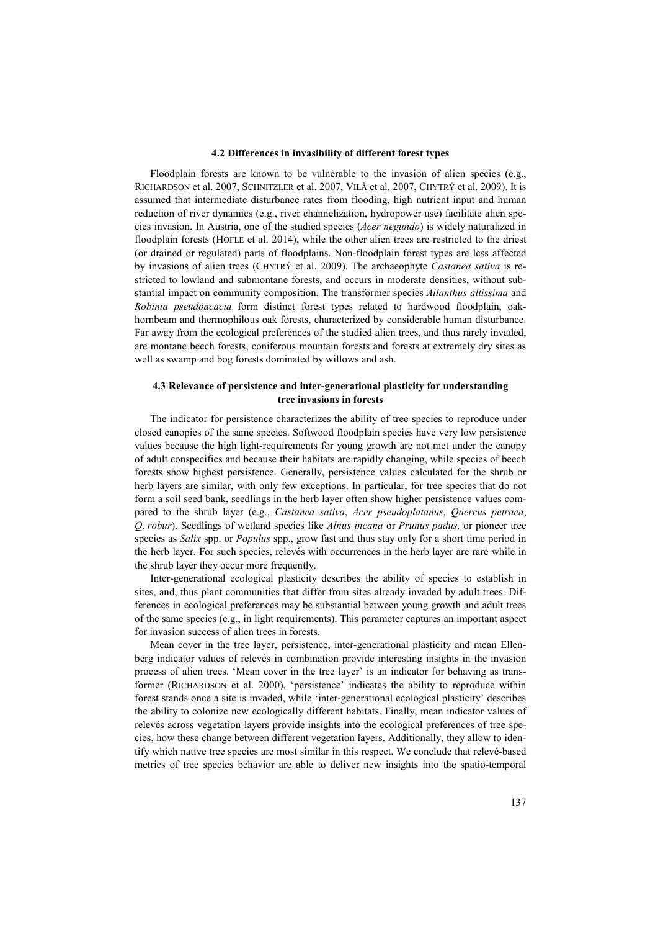## **4.2 Differences in invasibility of different forest types**

Floodplain forests are known to be vulnerable to the invasion of alien species (e.g., RICHARDSON et al. 2007, SCHNITZLER et al. 2007, VILÀ et al. 2007, CHYTRÝ et al. 2009). It is assumed that intermediate disturbance rates from flooding, high nutrient input and human reduction of river dynamics (e.g., river channelization, hydropower use) facilitate alien species invasion. In Austria, one of the studied species (*Acer negundo*) is widely naturalized in floodplain forests (HÖFLE et al. 2014), while the other alien trees are restricted to the driest (or drained or regulated) parts of floodplains. Non-floodplain forest types are less affected by invasions of alien trees (CHYTRÝ et al. 2009). The archaeophyte *Castanea sativa* is restricted to lowland and submontane forests, and occurs in moderate densities, without substantial impact on community composition. The transformer species *Ailanthus altissima* and *Robinia pseudoacacia* form distinct forest types related to hardwood floodplain, oakhornbeam and thermophilous oak forests, characterized by considerable human disturbance. Far away from the ecological preferences of the studied alien trees, and thus rarely invaded, are montane beech forests, coniferous mountain forests and forests at extremely dry sites as well as swamp and bog forests dominated by willows and ash.

# **4.3 Relevance of persistence and inter-generational plasticity for understanding tree invasions in forests**

The indicator for persistence characterizes the ability of tree species to reproduce under closed canopies of the same species. Softwood floodplain species have very low persistence values because the high light-requirements for young growth are not met under the canopy of adult conspecifics and because their habitats are rapidly changing, while species of beech forests show highest persistence. Generally, persistence values calculated for the shrub or herb layers are similar, with only few exceptions. In particular, for tree species that do not form a soil seed bank, seedlings in the herb layer often show higher persistence values compared to the shrub layer (e.g., *Castanea sativa*, *Acer pseudoplatanus*, *Quercus petraea*, *Q*. *robur*). Seedlings of wetland species like *Alnus incana* or *Prunus padus,* or pioneer tree species as *Salix* spp. or *Populus* spp., grow fast and thus stay only for a short time period in the herb layer. For such species, relevés with occurrences in the herb layer are rare while in the shrub layer they occur more frequently.

Inter-generational ecological plasticity describes the ability of species to establish in sites, and, thus plant communities that differ from sites already invaded by adult trees. Differences in ecological preferences may be substantial between young growth and adult trees of the same species (e.g., in light requirements). This parameter captures an important aspect for invasion success of alien trees in forests.

Mean cover in the tree layer, persistence, inter-generational plasticity and mean Ellenberg indicator values of relevés in combination provide interesting insights in the invasion process of alien trees. 'Mean cover in the tree layer' is an indicator for behaving as transformer (RICHARDSON et al. 2000), 'persistence' indicates the ability to reproduce within forest stands once a site is invaded, while 'inter-generational ecological plasticity' describes the ability to colonize new ecologically different habitats. Finally, mean indicator values of relevés across vegetation layers provide insights into the ecological preferences of tree species, how these change between different vegetation layers. Additionally, they allow to identify which native tree species are most similar in this respect. We conclude that relevé-based metrics of tree species behavior are able to deliver new insights into the spatio-temporal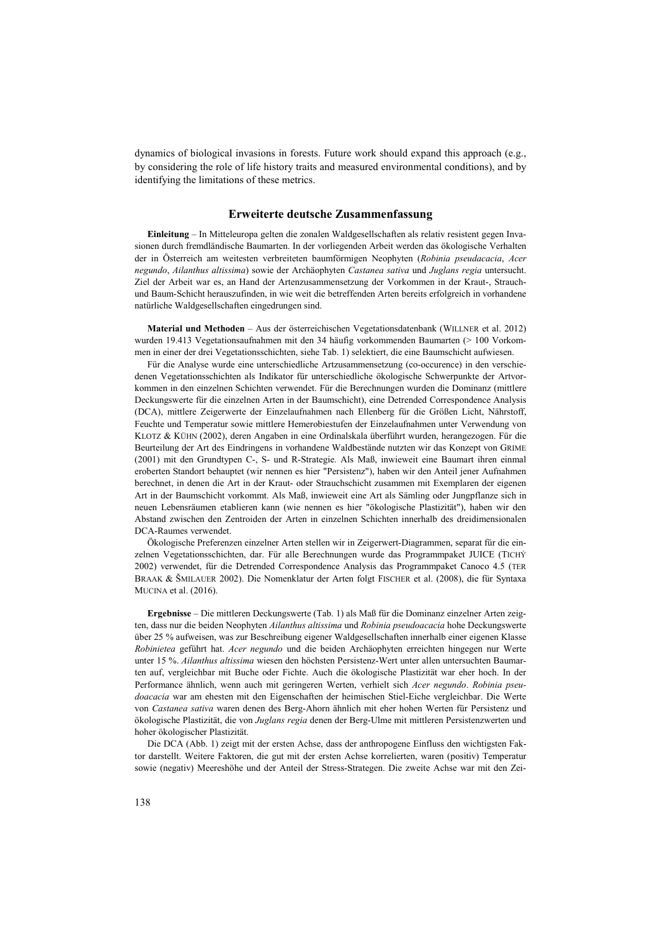dynamics of biological invasions in forests. Future work should expand this approach (e.g., by considering the role of life history traits and measured environmental conditions), and by identifying the limitations of these metrics.

# **Erweiterte deutsche Zusammenfassung**

**Einleitung** – In Mitteleuropa gelten die zonalen Waldgesellschaften als relativ resistent gegen Invasionen durch fremdländische Baumarten. In der vorliegenden Arbeit werden das ökologische Verhalten der in Österreich am weitesten verbreiteten baumförmigen Neophyten (*Robinia pseudacacia*, *Acer negundo*, *Ailanthus altissima*) sowie der Archäophyten *Castanea sativa* und *Juglans regia* untersucht. Ziel der Arbeit war es, an Hand der Artenzusammensetzung der Vorkommen in der Kraut-, Strauchund Baum-Schicht herauszufinden, in wie weit die betreffenden Arten bereits erfolgreich in vorhandene natürliche Waldgesellschaften eingedrungen sind.

**Material und Methoden** – Aus der österreichischen Vegetationsdatenbank (WILLNER et al. 2012) wurden 19.413 Vegetationsaufnahmen mit den 34 häufig vorkommenden Baumarten (> 100 Vorkommen in einer der drei Vegetationsschichten, siehe Tab. 1) selektiert, die eine Baumschicht aufwiesen.

Für die Analyse wurde eine unterschiedliche Artzusammensetzung (co-occurence) in den verschiedenen Vegetationsschichten als Indikator für unterschiedliche ökologische Schwerpunkte der Artvorkommen in den einzelnen Schichten verwendet. Für die Berechnungen wurden die Dominanz (mittlere Deckungswerte für die einzelnen Arten in der Baumschicht), eine Detrended Correspondence Analysis (DCA), mittlere Zeigerwerte der Einzelaufnahmen nach Ellenberg für die Größen Licht, Nährstoff, Feuchte und Temperatur sowie mittlere Hemerobiestufen der Einzelaufnahmen unter Verwendung von KLOTZ & KÜHN (2002), deren Angaben in eine Ordinalskala überführt wurden, herangezogen. Für die Beurteilung der Art des Eindringens in vorhandene Waldbestände nutzten wir das Konzept von GRIME (2001) mit den Grundtypen C-, S- und R-Strategie. Als Maß, inwieweit eine Baumart ihren einmal eroberten Standort behauptet (wir nennen es hier "Persistenz"), haben wir den Anteil jener Aufnahmen berechnet, in denen die Art in der Kraut- oder Strauchschicht zusammen mit Exemplaren der eigenen Art in der Baumschicht vorkommt. Als Maß, inwieweit eine Art als Sämling oder Jungpflanze sich in neuen Lebensräumen etablieren kann (wie nennen es hier "ökologische Plastizität"), haben wir den Abstand zwischen den Zentroiden der Arten in einzelnen Schichten innerhalb des dreidimensionalen DCA-Raumes verwendet.

Ökologische Preferenzen einzelner Arten stellen wir in Zeigerwert-Diagrammen, separat für die einzelnen Vegetationsschichten, dar. Für alle Berechnungen wurde das Programmpaket JUICE (TICHÝ 2002) verwendet, für die Detrended Correspondence Analysis das Programmpaket Canoco 4.5 (TER BRAAK & ŠMILAUER 2002). Die Nomenklatur der Arten folgt FISCHER et al. (2008), die für Syntaxa MUCINA et al. (2016).

**Ergebnisse** – Die mittleren Deckungswerte (Tab. 1) als Maß für die Dominanz einzelner Arten zeigten, dass nur die beiden Neophyten *Ailanthus altissima* und *Robinia pseudoacacia* hohe Deckungswerte über 25 % aufweisen, was zur Beschreibung eigener Waldgesellschaften innerhalb einer eigenen Klasse *Robinietea* geführt hat. *Acer negundo* und die beiden Archäophyten erreichten hingegen nur Werte unter 15 %. *Ailanthus altissima* wiesen den höchsten Persistenz-Wert unter allen untersuchten Baumarten auf, vergleichbar mit Buche oder Fichte. Auch die ökologische Plastizität war eher hoch. In der Performance ähnlich, wenn auch mit geringeren Werten, verhielt sich *Acer negundo*. *Robinia pseudoacacia* war am ehesten mit den Eigenschaften der heimischen Stiel-Eiche vergleichbar. Die Werte von *Castanea sativa* waren denen des Berg-Ahorn ähnlich mit eher hohen Werten für Persistenz und ökologische Plastizität, die von *Juglans regia* denen der Berg-Ulme mit mittleren Persistenzwerten und hoher ökologischer Plastizität.

Die DCA (Abb. 1) zeigt mit der ersten Achse, dass der anthropogene Einfluss den wichtigsten Faktor darstellt. Weitere Faktoren, die gut mit der ersten Achse korrelierten, waren (positiv) Temperatur sowie (negativ) Meereshöhe und der Anteil der Stress-Strategen. Die zweite Achse war mit den Zei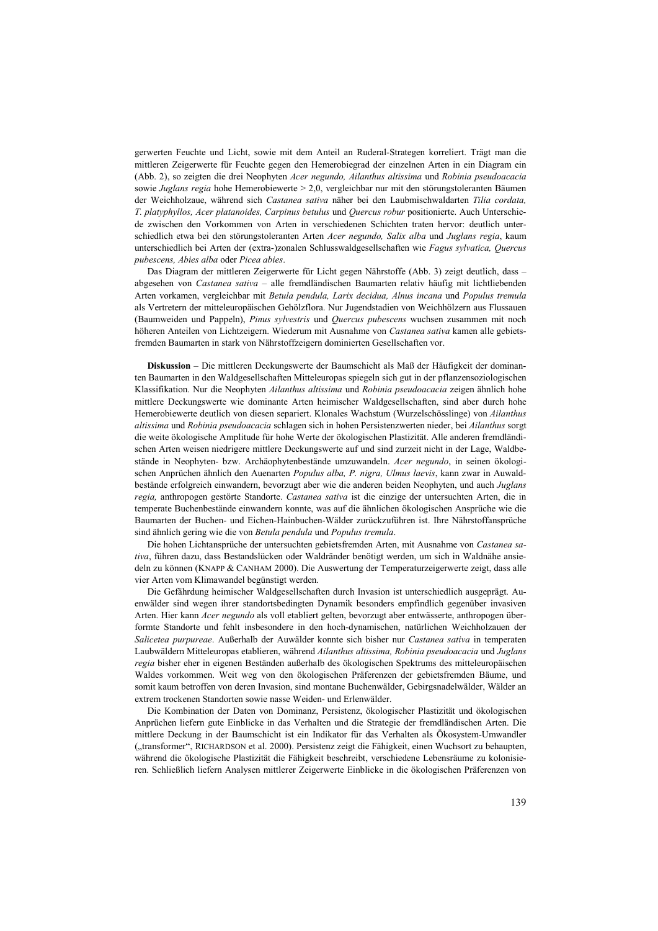gerwerten Feuchte und Licht, sowie mit dem Anteil an Ruderal-Strategen korreliert. Trägt man die mittleren Zeigerwerte für Feuchte gegen den Hemerobiegrad der einzelnen Arten in ein Diagram ein (Abb. 2), so zeigten die drei Neophyten *Acer negundo, Ailanthus altissima* und *Robinia pseudoacacia*  sowie *Juglans regia* hohe Hemerobiewerte > 2,0, vergleichbar nur mit den störungstoleranten Bäumen der Weichholzaue, während sich *Castanea sativa* näher bei den Laubmischwaldarten *Tilia cordata, T. platyphyllos, Acer platanoides, Carpinus betulus* und *Quercus robur* positionierte. Auch Unterschiede zwischen den Vorkommen von Arten in verschiedenen Schichten traten hervor: deutlich unterschiedlich etwa bei den störungstoleranten Arten *Acer negundo, Salix alba* und *Juglans regia*, kaum unterschiedlich bei Arten der (extra-)zonalen Schlusswaldgesellschaften wie *Fagus sylvatica, Quercus pubescens, Abies alba* oder *Picea abies*.

Das Diagram der mittleren Zeigerwerte für Licht gegen Nährstoffe (Abb. 3) zeigt deutlich, dass – abgesehen von *Castanea sativa* – alle fremdländischen Baumarten relativ häufig mit lichtliebenden Arten vorkamen, vergleichbar mit *Betula pendula, Larix decidua, Alnus incana* und *Populus tremula* als Vertretern der mitteleuropäischen Gehölzflora. Nur Jugendstadien von Weichhölzern aus Flussauen (Baumweiden und Pappeln), *Pinus sylvestris* und *Quercus pubescens* wuchsen zusammen mit noch höheren Anteilen von Lichtzeigern. Wiederum mit Ausnahme von *Castanea sativa* kamen alle gebietsfremden Baumarten in stark von Nährstoffzeigern dominierten Gesellschaften vor.

**Diskussion** – Die mittleren Deckungswerte der Baumschicht als Maß der Häufigkeit der dominanten Baumarten in den Waldgesellschaften Mitteleuropas spiegeln sich gut in der pflanzensoziologischen Klassifikation. Nur die Neophyten *Ailanthus altissima* und *Robinia pseudoacacia* zeigen ähnlich hohe mittlere Deckungswerte wie dominante Arten heimischer Waldgesellschaften, sind aber durch hohe Hemerobiewerte deutlich von diesen separiert. Klonales Wachstum (Wurzelschösslinge) von *Ailanthus altissima* und *Robinia pseudoacacia* schlagen sich in hohen Persistenzwerten nieder, bei *Ailanthus* sorgt die weite ökologische Amplitude für hohe Werte der ökologischen Plastizität. Alle anderen fremdländischen Arten weisen niedrigere mittlere Deckungswerte auf und sind zurzeit nicht in der Lage, Waldbestände in Neophyten- bzw. Archäophytenbestände umzuwandeln. *Acer negundo*, in seinen ökologischen Anprüchen ähnlich den Auenarten *Populus alba, P. nigra, Ulmus laevis*, kann zwar in Auwaldbestände erfolgreich einwandern, bevorzugt aber wie die anderen beiden Neophyten, und auch *Juglans regia,* anthropogen gestörte Standorte. *Castanea sativa* ist die einzige der untersuchten Arten, die in temperate Buchenbestände einwandern konnte, was auf die ähnlichen ökologischen Ansprüche wie die Baumarten der Buchen- und Eichen-Hainbuchen-Wälder zurückzuführen ist. Ihre Nährstoffansprüche sind ähnlich gering wie die von *Betula pendula* und *Populus tremula*.

Die hohen Lichtansprüche der untersuchten gebietsfremden Arten, mit Ausnahme von *Castanea sativa*, führen dazu, dass Bestandslücken oder Waldränder benötigt werden, um sich in Waldnähe ansiedeln zu können (KNAPP & CANHAM 2000). Die Auswertung der Temperaturzeigerwerte zeigt, dass alle vier Arten vom Klimawandel begünstigt werden.

Die Gefährdung heimischer Waldgesellschaften durch Invasion ist unterschiedlich ausgeprägt. Auenwälder sind wegen ihrer standortsbedingten Dynamik besonders empfindlich gegenüber invasiven Arten. Hier kann *Acer negundo* als voll etabliert gelten, bevorzugt aber entwässerte, anthropogen überformte Standorte und fehlt insbesondere in den hoch-dynamischen, natürlichen Weichholzauen der *Salicetea purpureae*. Außerhalb der Auwälder konnte sich bisher nur *Castanea sativa* in temperaten Laubwäldern Mitteleuropas etablieren, während *Ailanthus altissima, Robinia pseudoacacia* und *Juglans regia* bisher eher in eigenen Beständen außerhalb des ökologischen Spektrums des mitteleuropäischen Waldes vorkommen. Weit weg von den ökologischen Präferenzen der gebietsfremden Bäume, und somit kaum betroffen von deren Invasion, sind montane Buchenwälder, Gebirgsnadelwälder, Wälder an extrem trockenen Standorten sowie nasse Weiden- und Erlenwälder.

Die Kombination der Daten von Dominanz, Persistenz, ökologischer Plastizität und ökologischen Anprüchen liefern gute Einblicke in das Verhalten und die Strategie der fremdländischen Arten. Die mittlere Deckung in der Baumschicht ist ein Indikator für das Verhalten als Ökosystem-Umwandler ("transformer", RICHARDSON et al. 2000). Persistenz zeigt die Fähigkeit, einen Wuchsort zu behaupten, während die ökologische Plastizität die Fähigkeit beschreibt, verschiedene Lebensräume zu kolonisieren. Schließlich liefern Analysen mittlerer Zeigerwerte Einblicke in die ökologischen Präferenzen von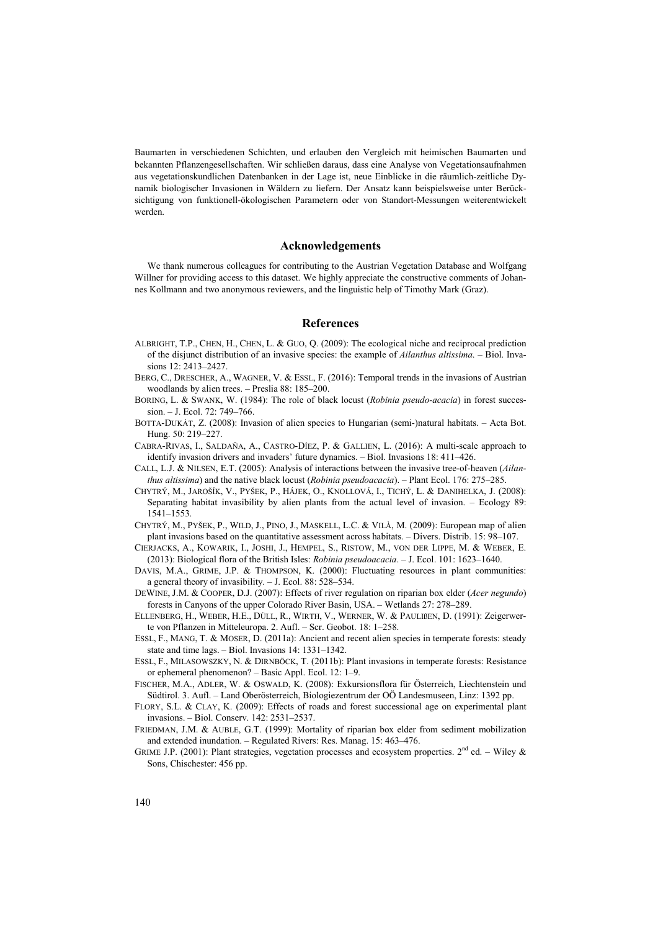Baumarten in verschiedenen Schichten, und erlauben den Vergleich mit heimischen Baumarten und bekannten Pflanzengesellschaften. Wir schließen daraus, dass eine Analyse von Vegetationsaufnahmen aus vegetationskundlichen Datenbanken in der Lage ist, neue Einblicke in die räumlich-zeitliche Dynamik biologischer Invasionen in Wäldern zu liefern. Der Ansatz kann beispielsweise unter Berücksichtigung von funktionell-ökologischen Parametern oder von Standort-Messungen weiterentwickelt werden.

#### **Acknowledgements**

We thank numerous colleagues for contributing to the Austrian Vegetation Database and Wolfgang Willner for providing access to this dataset. We highly appreciate the constructive comments of Johannes Kollmann and two anonymous reviewers, and the linguistic help of Timothy Mark (Graz).

# **References**

- ALBRIGHT, T.P., CHEN, H., CHEN, L. & GUO, Q. (2009): The ecological niche and reciprocal prediction of the disjunct distribution of an invasive species: the example of *Ailanthus altissima*. – Biol. Invasions 12: 2413–2427.
- BERG, C., DRESCHER, A., WAGNER, V. & ESSL, F. (2016): Temporal trends in the invasions of Austrian woodlands by alien trees. – Preslia 88: 185–200.
- BORING, L. & SWANK, W. (1984): The role of black locust (*Robinia pseudo-acacia*) in forest succession. – J. Ecol. 72: 749–766.
- BOTTA-DUKÁT, Z. (2008): Invasion of alien species to Hungarian (semi-)natural habitats. Acta Bot. Hung. 50: 219–227.
- CABRA-RIVAS, I., SALDAÑA, A., CASTRO-DÍEZ, P. & GALLIEN, L. (2016): A multi-scale approach to identify invasion drivers and invaders' future dynamics. – Biol. Invasions 18: 411–426.
- CALL, L.J. & NILSEN, E.T. (2005): Analysis of interactions between the invasive tree-of-heaven (*Ailanthus altissima*) and the native black locust (*Robinia pseudoacacia*). – Plant Ecol. 176: 275–285.
- CHYTRÝ, M., JAROŠÍK, V., PYŠEK, P., HÁJEK, O., KNOLLOVÁ, I., TICHÝ, L. & DANIHELKA, J. (2008): Separating habitat invasibility by alien plants from the actual level of invasion. – Ecology 89: 1541–1553.
- CHYTRÝ, M., PYŠEK, P., WILD, J., PINO, J., MASKELL, L.C. & VILÀ, M. (2009): European map of alien plant invasions based on the quantitative assessment across habitats. – Divers. Distrib. 15: 98–107.
- CIERJACKS, A., KOWARIK, I., JOSHI, J., HEMPEL, S., RISTOW, M., VON DER LIPPE, M. & WEBER, E. (2013): Biological flora of the British Isles: *Robinia pseudoacacia*. – J. Ecol. 101: 1623–1640.
- DAVIS, M.A., GRIME, J.P. & THOMPSON, K. (2000): Fluctuating resources in plant communities: a general theory of invasibility. – J. Ecol. 88: 528–534.
- DEWINE, J.M. & COOPER, D.J. (2007): Effects of river regulation on riparian box elder (*Acer negundo*) forests in Canyons of the upper Colorado River Basin, USA. – Wetlands 27: 278–289.
- ELLENBERG, H., WEBER, H.E., DÜLL, R., WIRTH, V., WERNER, W. & PAULIßEN, D. (1991): Zeigerwerte von Pflanzen in Mitteleuropa. 2. Aufl. – Scr. Geobot. 18: 1–258.
- ESSL, F., MANG, T. & MOSER, D. (2011a): Ancient and recent alien species in temperate forests: steady state and time lags. – Biol. Invasions 14: 1331–1342.
- ESSL, F., MILASOWSZKY, N. & DIRNBÖCK, T. (2011b): Plant invasions in temperate forests: Resistance or ephemeral phenomenon? – Basic Appl. Ecol. 12: 1–9.
- FISCHER, M.A., ADLER, W. & OSWALD, K. (2008): Exkursionsflora für Österreich, Liechtenstein und Südtirol. 3. Aufl. – Land Oberösterreich, Biologiezentrum der OÖ Landesmuseen, Linz: 1392 pp.
- FLORY, S.L. & CLAY, K. (2009): Effects of roads and forest successional age on experimental plant invasions. – Biol. Conserv. 142: 2531–2537.
- FRIEDMAN, J.M. & AUBLE, G.T. (1999): Mortality of riparian box elder from sediment mobilization and extended inundation. – Regulated Rivers: Res. Manag. 15: 463–476.
- GRIME J.P. (2001): Plant strategies, vegetation processes and ecosystem properties. 2<sup>nd</sup> ed. Wiley & Sons, Chischester: 456 pp.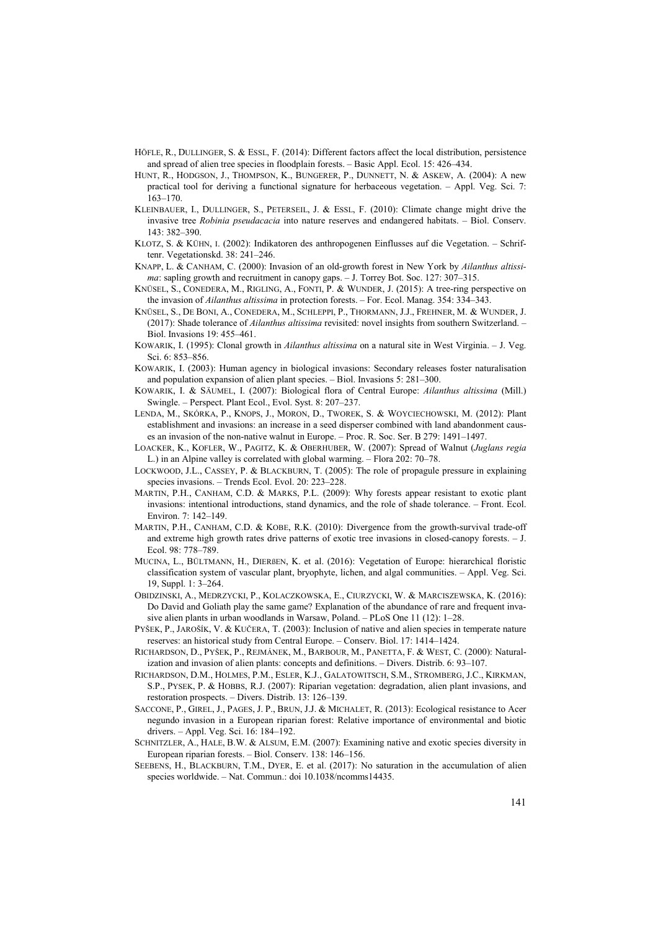- HÖFLE, R., DULLINGER, S. & ESSL, F. (2014): Different factors affect the local distribution, persistence and spread of alien tree species in floodplain forests. – Basic Appl. Ecol. 15: 426–434.
- HUNT, R., HODGSON, J., THOMPSON, K., BUNGERER, P., DUNNETT, N. & ASKEW, A. (2004): A new practical tool for deriving a functional signature for herbaceous vegetation. – Appl. Veg. Sci. 7: 163–170.
- KLEINBAUER, I., DULLINGER, S., PETERSEIL, J. & ESSL, F. (2010): Climate change might drive the invasive tree *Robinia pseudacacia* into nature reserves and endangered habitats. – Biol. Conserv. 143: 382–390.
- KLOTZ, S. & KÜHN, I. (2002): Indikatoren des anthropogenen Einflusses auf die Vegetation. Schriftenr. Vegetationskd. 38: 241–246.
- KNAPP, L. & CANHAM, C. (2000): Invasion of an old-growth forest in New York by *Ailanthus altissima*: sapling growth and recruitment in canopy gaps. – J. Torrey Bot. Soc. 127: 307–315.
- KNÜSEL, S., CONEDERA, M., RIGLING, A., FONTI, P. & WUNDER, J. (2015): A tree-ring perspective on the invasion of *Ailanthus altissima* in protection forests. – For. Ecol. Manag. 354: 334–343.
- KNÜSEL, S., DE BONI, A., CONEDERA, M., SCHLEPPI, P., THORMANN, J.J., FREHNER, M. & WUNDER, J. (2017): Shade tolerance of *Ailanthus altissima* revisited: novel insights from southern Switzerland. – Biol. Invasions 19: 455–461.
- KOWARIK, I. (1995): Clonal growth in *Ailanthus altissima* on a natural site in West Virginia. J. Veg. Sci. 6: 853–856.
- KOWARIK, I. (2003): Human agency in biological invasions: Secondary releases foster naturalisation and population expansion of alien plant species. – Biol. Invasions 5: 281–300.
- KOWARIK, I. & SÄUMEL, I. (2007): Biological flora of Central Europe: *Ailanthus altissima* (Mill.) Swingle. – Perspect. Plant Ecol., Evol. Syst. 8: 207–237.
- LENDA, M., SKÓRKA, P., KNOPS, J., MORON, D., TWOREK, S. & WOYCIECHOWSKI, M. (2012): Plant establishment and invasions: an increase in a seed disperser combined with land abandonment causes an invasion of the non-native walnut in Europe. – Proc. R. Soc. Ser. B 279: 1491–1497.
- LOACKER, K., KOFLER, W., PAGITZ, K. & OBERHUBER, W. (2007): Spread of Walnut (*Juglans regia* L.) in an Alpine valley is correlated with global warming. – Flora 202: 70–78.
- LOCKWOOD, J.L., CASSEY, P. & BLACKBURN, T. (2005): The role of propagule pressure in explaining species invasions. – Trends Ecol. Evol. 20: 223–228.
- MARTIN, P.H., CANHAM, C.D. & MARKS, P.L. (2009): Why forests appear resistant to exotic plant invasions: intentional introductions, stand dynamics, and the role of shade tolerance. – Front. Ecol. Environ. 7: 142–149.
- MARTIN, P.H., CANHAM, C.D. & KOBE, R.K. (2010): Divergence from the growth-survival trade-off and extreme high growth rates drive patterns of exotic tree invasions in closed-canopy forests. – J. Ecol. 98: 778–789.
- MUCINA, L., BÜLTMANN, H., DIERßEN, K. et al. (2016): Vegetation of Europe: hierarchical floristic classification system of vascular plant, bryophyte, lichen, and algal communities. – Appl. Veg. Sci. 19, Suppl. 1: 3–264.
- OBIDZINSKI, A., MEDRZYCKI, P., KOLACZKOWSKA, E., CIURZYCKI, W. & MARCISZEWSKA, K. (2016): Do David and Goliath play the same game? Explanation of the abundance of rare and frequent invasive alien plants in urban woodlands in Warsaw, Poland. – PLoS One 11 (12): 1–28.
- PYŠEK, P., JAROŠÍK, V. & KUČERA, T. (2003): Inclusion of native and alien species in temperate nature reserves: an historical study from Central Europe. – Conserv. Biol. 17: 1414–1424.
- RICHARDSON, D., PYŠEK, P., REJMÁNEK, M., BARBOUR, M., PANETTA, F. & WEST, C. (2000): Naturalization and invasion of alien plants: concepts and definitions. – Divers. Distrib. 6: 93–107.
- RICHARDSON, D.M., HOLMES, P.M., ESLER, K.J., GALATOWITSCH, S.M., STROMBERG, J.C., KIRKMAN, S.P., PYSEK, P. & HOBBS, R.J. (2007): Riparian vegetation: degradation, alien plant invasions, and restoration prospects. – Divers. Distrib. 13: 126–139.
- SACCONE, P., GIREL, J., PAGES, J. P., BRUN, J.J. & MICHALET, R. (2013): Ecological resistance to Acer negundo invasion in a European riparian forest: Relative importance of environmental and biotic drivers. – Appl. Veg. Sci. 16: 184–192.
- SCHNITZLER, A., HALE, B.W. & ALSUM, E.M. (2007): Examining native and exotic species diversity in European riparian forests. – Biol. Conserv. 138: 146–156.
- SEEBENS, H., BLACKBURN, T.M., DYER, E. et al. (2017): No saturation in the accumulation of alien species worldwide. – Nat. Commun.: doi 10.1038/ncomms14435.